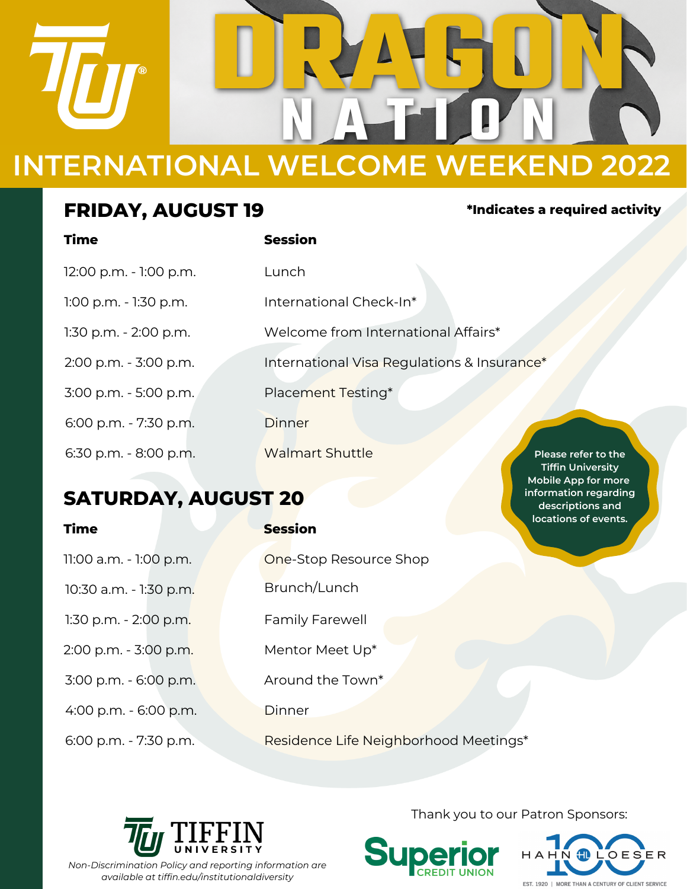

### **FRIDAY, AUGUST 19**

# **Time Session** 1:00 p.m. - 1:30 p.m. International Check-In\* 1:30 p.m. - 2:00 p.m. Welcome from International Affairs\* 2:00 p.m. - 3:00 p.m. International Visa Regulations & Insurance\* Placement Testing\* 6:00 p.m. - 7:30 p.m. Dinner 6:30 p.m. - 8:00 p.m. Walmart Shuttle 3:00 p.m. - 5:00 p.m. 12:00 p.m. - 1:00 p.m. Lunch **Please refer to the Tiffin University**

# **SATURDAY, AUGUST 20**

**Time Session**

11:00 a.m. - 1:00 p.m. **One-Stop Resource Shop** 10:30 a.m. - 1:30 p.m. Brunch/Lunch 1:30 p.m. - 2:00 p.m. Family Farewell 2:00 p.m. - 3:00 p.m. Mentor Meet Up\* 3:00 p.m. - 6:00 p.m. Around the Town\* 4:00 p.m. - 6:00 p.m. Dinner

6:00 p.m. - 7:30 p.m. Residence Life Neighborhood Meetings\*



Thank you to our Patron Sponsors:





**\*Indicates a required activity**

**Mobile App for more information regarding descriptions and locations of events.**